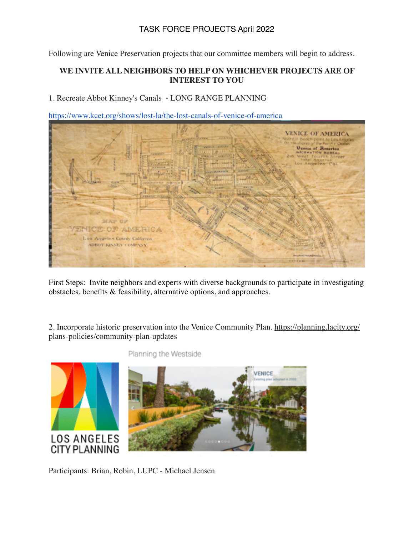## TASK FORCE PROJECTS April 2022

Following are Venice Preservation projects that our committee members will begin to address.

## **WE INVITE ALL NEIGHBORS TO HELP ON WHICHEVER PROJECTS ARE OF INTEREST TO YOU**

1. Recreate Abbot Kinney's Canals - LONG RANGE PLANNING



https://www.kcet.org/shows/lost-la/the-lost-canals-of-venice-of-america

First Steps: Invite neighbors and experts with diverse backgrounds to participate in investigating obstacles, benefits & feasibility, alternative options, and approaches.

[2. Incorporate historic preservation into the Venice Community Plan. https://planning.lacity.org/](https://planning.lacity.org/plans-policies/community-plan-updates) plans-policies/community-plan-updates



Planning the Westside

Participants: Brian, Robin, LUPC - Michael Jensen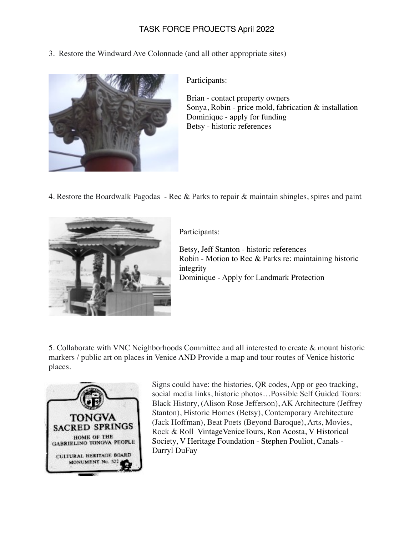## TASK FORCE PROJECTS April 2022

3. Restore the Windward Ave Colonnade (and all other appropriate sites)



Participants:

Brian - contact property owners Sonya, Robin - price mold, fabrication & installation Dominique - apply for funding Betsy - historic references

4. Restore the Boardwalk Pagodas - Rec & Parks to repair & maintain shingles, spires and paint



Participants:

Betsy, Jeff Stanton - historic references Robin - Motion to Rec & Parks re: maintaining historic integrity Dominique - Apply for Landmark Protection

5. Collaborate with VNC Neighborhoods Committee and all interested to create & mount historic markers / public art on places in Venice AND Provide a map and tour routes of Venice historic places.



Signs could have: the histories, QR codes, App or geo tracking, social media links, historic photos…Possible Self Guided Tours: Black History, (Alison Rose Jefferson), AK Architecture (Jeffrey Stanton), Historic Homes (Betsy), Contemporary Architecture (Jack Hoffman), Beat Poets (Beyond Baroque), Arts, Movies, Rock & Roll VintageVeniceTours, Ron Acosta, V Historical Society, V Heritage Foundation - Stephen Pouliot, Canals - Darryl DuFay